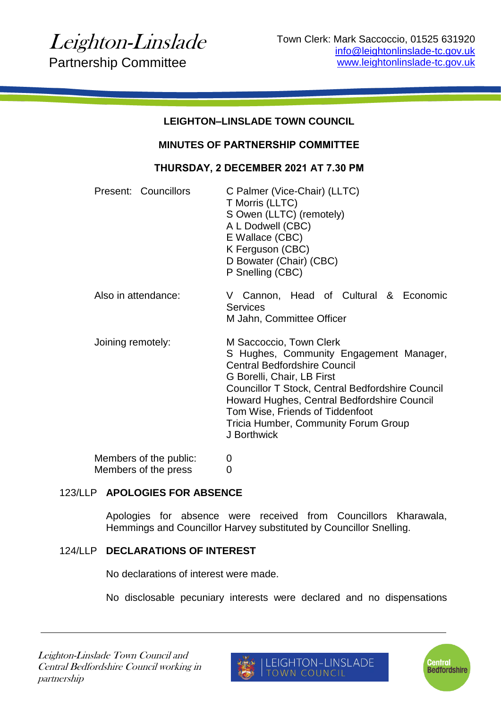| <b>LEIGHTON-LINSLADE TOWN COUNCIL</b>          |                                                                                                                                                                                                                                                                                                                                             |
|------------------------------------------------|---------------------------------------------------------------------------------------------------------------------------------------------------------------------------------------------------------------------------------------------------------------------------------------------------------------------------------------------|
| <b>MINUTES OF PARTNERSHIP COMMITTEE</b>        |                                                                                                                                                                                                                                                                                                                                             |
| THURSDAY, 2 DECEMBER 2021 AT 7.30 PM           |                                                                                                                                                                                                                                                                                                                                             |
| Present: Councillors                           | C Palmer (Vice-Chair) (LLTC)<br>T Morris (LLTC)<br>S Owen (LLTC) (remotely)<br>A L Dodwell (CBC)<br>E Wallace (CBC)<br>K Ferguson (CBC)<br>D Bowater (Chair) (CBC)<br>P Snelling (CBC)                                                                                                                                                      |
| Also in attendance:                            | V Cannon, Head of Cultural & Economic<br><b>Services</b><br>M Jahn, Committee Officer                                                                                                                                                                                                                                                       |
| Joining remotely:                              | M Saccoccio, Town Clerk<br>S Hughes, Community Engagement Manager,<br><b>Central Bedfordshire Council</b><br>G Borelli, Chair, LB First<br>Councillor T Stock, Central Bedfordshire Council<br>Howard Hughes, Central Bedfordshire Council<br>Tom Wise, Friends of Tiddenfoot<br><b>Tricia Humber, Community Forum Group</b><br>J Borthwick |
| Members of the public:<br>Members of the press | 0<br>0                                                                                                                                                                                                                                                                                                                                      |

### 123/LLP **APOLOGIES FOR ABSENCE**

Apologies for absence were received from Councillors Kharawala, Hemmings and Councillor Harvey substituted by Councillor Snelling.

### 124/LLP **DECLARATIONS OF INTEREST**

No declarations of interest were made.

No disclosable pecuniary interests were declared and no dispensations



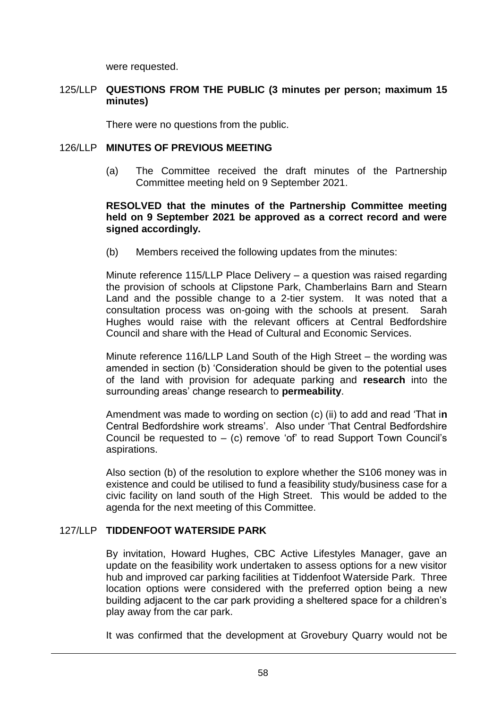were requested.

### 125/LLP **QUESTIONS FROM THE PUBLIC (3 minutes per person; maximum 15 minutes)**

There were no questions from the public.

#### 126/LLP **MINUTES OF PREVIOUS MEETING**

(a) The Committee received the draft minutes of the Partnership Committee meeting held on 9 September 2021.

### **RESOLVED that the minutes of the Partnership Committee meeting held on 9 September 2021 be approved as a correct record and were signed accordingly.**

(b) Members received the following updates from the minutes:

Minute reference 115/LLP Place Delivery – a question was raised regarding the provision of schools at Clipstone Park, Chamberlains Barn and Stearn Land and the possible change to a 2-tier system. It was noted that a consultation process was on-going with the schools at present. Sarah Hughes would raise with the relevant officers at Central Bedfordshire Council and share with the Head of Cultural and Economic Services.

Minute reference 116/LLP Land South of the High Street – the wording was amended in section (b) 'Consideration should be given to the potential uses of the land with provision for adequate parking and **research** into the surrounding areas' change research to **permeability**.

Amendment was made to wording on section (c) (ii) to add and read 'That i**n** Central Bedfordshire work streams'. Also under 'That Central Bedfordshire Council be requested to  $-$  (c) remove 'of' to read Support Town Council's aspirations.

Also section (b) of the resolution to explore whether the S106 money was in existence and could be utilised to fund a feasibility study/business case for a civic facility on land south of the High Street. This would be added to the agenda for the next meeting of this Committee.

# 127/LLP **TIDDENFOOT WATERSIDE PARK**

By invitation, Howard Hughes, CBC Active Lifestyles Manager, gave an update on the feasibility work undertaken to assess options for a new visitor hub and improved car parking facilities at Tiddenfoot Waterside Park. Three location options were considered with the preferred option being a new building adjacent to the car park providing a sheltered space for a children's play away from the car park.

It was confirmed that the development at Grovebury Quarry would not be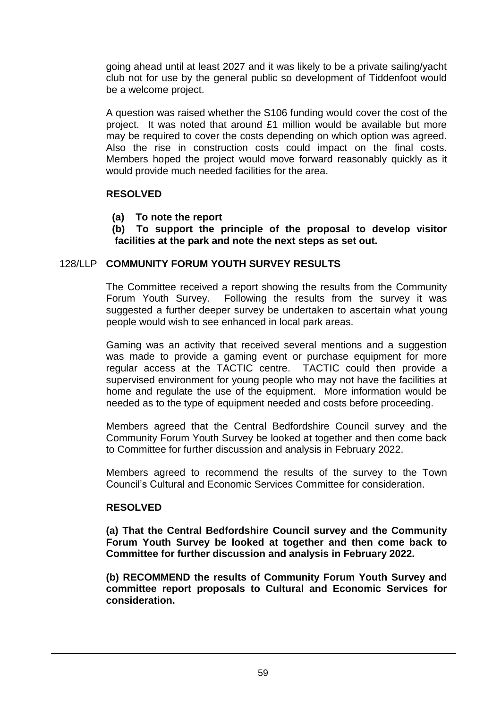going ahead until at least 2027 and it was likely to be a private sailing/yacht club not for use by the general public so development of Tiddenfoot would be a welcome project.

A question was raised whether the S106 funding would cover the cost of the project. It was noted that around £1 million would be available but more may be required to cover the costs depending on which option was agreed. Also the rise in construction costs could impact on the final costs. Members hoped the project would move forward reasonably quickly as it would provide much needed facilities for the area.

### **RESOLVED**

- **(a) To note the report**
- **(b) To support the principle of the proposal to develop visitor facilities at the park and note the next steps as set out.**

### 128/LLP **COMMUNITY FORUM YOUTH SURVEY RESULTS**

The Committee received a report showing the results from the Community Forum Youth Survey. Following the results from the survey it was suggested a further deeper survey be undertaken to ascertain what young people would wish to see enhanced in local park areas.

Gaming was an activity that received several mentions and a suggestion was made to provide a gaming event or purchase equipment for more regular access at the TACTIC centre. TACTIC could then provide a supervised environment for young people who may not have the facilities at home and regulate the use of the equipment. More information would be needed as to the type of equipment needed and costs before proceeding.

Members agreed that the Central Bedfordshire Council survey and the Community Forum Youth Survey be looked at together and then come back to Committee for further discussion and analysis in February 2022.

Members agreed to recommend the results of the survey to the Town Council's Cultural and Economic Services Committee for consideration.

### **RESOLVED**

**(a) That the Central Bedfordshire Council survey and the Community Forum Youth Survey be looked at together and then come back to Committee for further discussion and analysis in February 2022.** 

**(b) RECOMMEND the results of Community Forum Youth Survey and committee report proposals to Cultural and Economic Services for consideration.**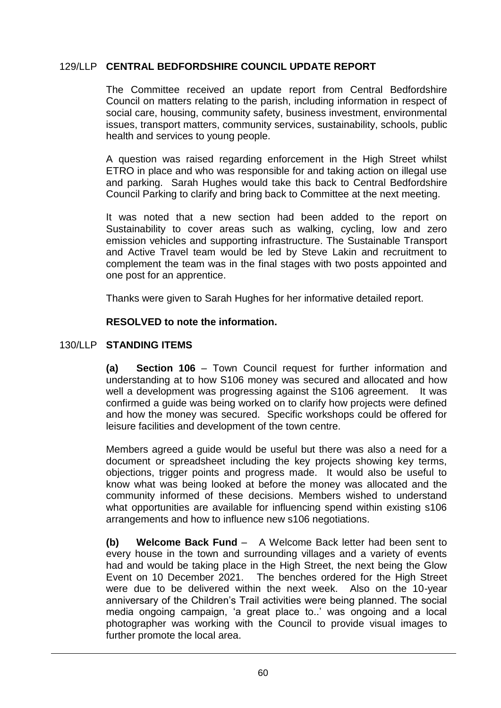# 129/LLP **CENTRAL BEDFORDSHIRE COUNCIL UPDATE REPORT**

The Committee received an update report from Central Bedfordshire Council on matters relating to the parish, including information in respect of social care, housing, community safety, business investment, environmental issues, transport matters, community services, sustainability, schools, public health and services to young people.

A question was raised regarding enforcement in the High Street whilst ETRO in place and who was responsible for and taking action on illegal use and parking. Sarah Hughes would take this back to Central Bedfordshire Council Parking to clarify and bring back to Committee at the next meeting.

It was noted that a new section had been added to the report on Sustainability to cover areas such as walking, cycling, low and zero emission vehicles and supporting infrastructure. The Sustainable Transport and Active Travel team would be led by Steve Lakin and recruitment to complement the team was in the final stages with two posts appointed and one post for an apprentice.

Thanks were given to Sarah Hughes for her informative detailed report.

# **RESOLVED to note the information.**

# 130/LLP **STANDING ITEMS**

**(a) Section 106** – Town Council request for further information and understanding at to how S106 money was secured and allocated and how well a development was progressing against the S106 agreement. It was confirmed a guide was being worked on to clarify how projects were defined and how the money was secured. Specific workshops could be offered for leisure facilities and development of the town centre.

Members agreed a guide would be useful but there was also a need for a document or spreadsheet including the key projects showing key terms, objections, trigger points and progress made. It would also be useful to know what was being looked at before the money was allocated and the community informed of these decisions. Members wished to understand what opportunities are available for influencing spend within existing s106 arrangements and how to influence new s106 negotiations.

**(b) Welcome Back Fund** – A Welcome Back letter had been sent to every house in the town and surrounding villages and a variety of events had and would be taking place in the High Street, the next being the Glow Event on 10 December 2021. The benches ordered for the High Street were due to be delivered within the next week. Also on the 10-year anniversary of the Children's Trail activities were being planned. The social media ongoing campaign, 'a great place to..' was ongoing and a local photographer was working with the Council to provide visual images to further promote the local area.